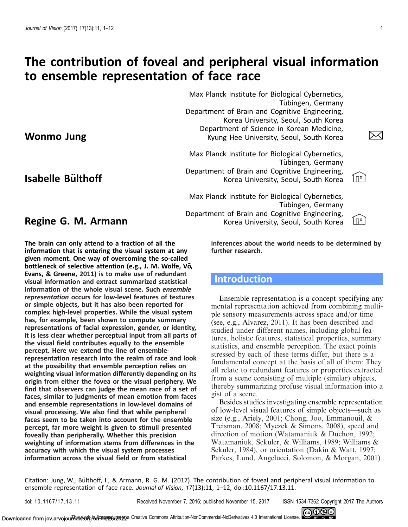Wonmo Jung

Isabelle Bulthoff ¨

# <span id="page-0-0"></span>The contribution of foveal and peripheral visual information to ensemble representation of face race

Max Planck Institute for Biological Cybernetics, Tübingen, Germany Department of Brain and Cognitive Engineering, Korea University, Seoul, South Korea Department of Science in Korean Medicine, Kyung Hee University, Seoul, South Korea [\\$](mailto:croquies@naver.com)

Max Planck Institute for Biological Cybernetics, Tübingen, Germany Department of Brain and Cognitive Engineering, Korea University, Seoul, South Korea  $\left[\begin{matrix}1\end{matrix}\right]$ 



Max Planck Institute for Biological Cybernetics, Tübingen, Germany Department of Brain and Cognitive Engineering, Korea University, Seoul, South Korea [II]



Regine G. M. Armann

The brain can only attend to a fraction of all the information that is entering the visual system at any given moment. One way of overcoming the so-called bottleneck of selective attention (e.g., J. M. Wolfe, Vo, Evans, & Greene, [2011](#page-11-0)) is to make use of redundant visual information and extract summarized statistical information of the whole visual scene. Such ensemble representation occurs for low-level features of textures or simple objects, but it has also been reported for complex high-level properties. While the visual system has, for example, been shown to compute summary representations of facial expression, gender, or identity, it is less clear whether perceptual input from all parts of the visual field contributes equally to the ensemble percept. Here we extend the line of ensemblerepresentation research into the realm of race and look at the possibility that ensemble perception relies on weighting visual information differently depending on its origin from either the fovea or the visual periphery. We find that observers can judge the mean race of a set of faces, similar to judgments of mean emotion from faces and ensemble representations in low-level domains of visual processing. We also find that while peripheral faces seem to be taken into account for the ensemble percept, far more weight is given to stimuli presented foveally than peripherally. Whether this precision weighting of information stems from differences in the accuracy with which the visual system processes information across the visual field or from statistical

inferences about the world needs to be determined by further research.

# **Introduction**

Ensemble representation is a concept specifying any mental representation achieved from combining multiple sensory measurements across space and/or time (see, e.g., Alvarez, [2011](#page-9-0)). It has been described and studied under different names, including global features, holistic features, statistical properties, summary statistics, and ensemble perception. The exact points stressed by each of these terms differ, but there is a fundamental concept at the basis of all of them: They all relate to redundant features or properties extracted from a scene consisting of multiple (similar) objects, thereby summarizing profuse visual information into a gist of a scene.

Besides studies investigating ensemble representation of low-level visual features of simple objects—such as size (e.g., Ariely, [2001](#page-9-0); Chong, Joo, Emmanouil, & Treisman, [2008](#page-10-0); Myczek & Simons, [2008](#page-10-0)), speed and direction of motion (Watamaniuk & Duchon, [1992;](#page-10-0) Watamaniuk, Sekuler, & Williams, [1989](#page-10-0); Williams & Sekuler, [1984](#page-11-0)), or orientation (Dakin & Watt, [1997](#page-10-0); Parkes, Lund, Angelucci, Solomon, & Morgan, [2001](#page-10-0))

Citation: Jung, W., Bulthoff, I., & Armann, R. G. M. (2017). The contribution of foveal and peripheral visual information to ¨ ensemble representation of face race. Journal of Vision, 17(13):11, 1-12, doi:10.1167/17.13.11.

doi: 10.1167/17.13.11 Received November 7, 2016; published November 15, 2017 ISSN 1534-7362 Copyright 2017 The Authors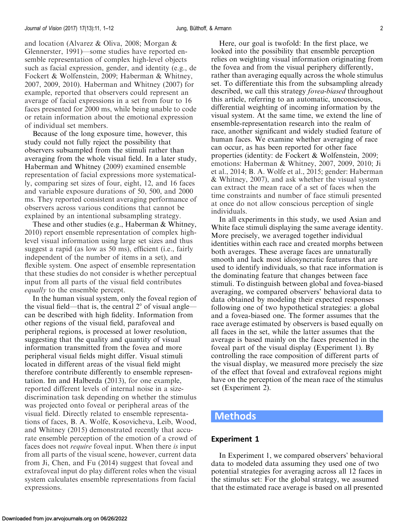and location (Alvarez & Oliva, [2008](#page-9-0); Morgan & Glennerster, [1991](#page-10-0))—some studies have reported ensemble representation of complex high-level objects such as facial expression, gender, and identity (e.g., de Fockert & Wolfenstein, [2009](#page-10-0); Haberman & Whitney, [2007, 2009](#page-10-0), [2010\)](#page-10-0). Haberman and Whitney [\(2007](#page-10-0)) for example, reported that observers could represent an average of facial expressions in a set from four to 16 faces presented for 2000 ms, while being unable to code or retain information about the emotional expression of individual set members.

Because of the long exposure time, however, this study could not fully reject the possibility that observers subsampled from the stimuli rather than averaging from the whole visual field. In a later study, Haberman and Whitney ([2009\)](#page-10-0) examined ensemble representation of facial expressions more systematically, comparing set sizes of four, eight, 12, and 16 faces and variable exposure durations of 50, 500, and 2000 ms. They reported consistent averaging performance of observers across various conditions that cannot be explained by an intentional subsampling strategy.

These and other studies (e.g., Haberman & Whitney, [2010\)](#page-10-0) report ensemble representation of complex highlevel visual information using large set sizes and thus suggest a rapid (as low as 50 ms), efficient (i.e., fairly independent of the number of items in a set), and flexible system. One aspect of ensemble representation that these studies do not consider is whether perceptual input from all parts of the visual field contributes equally to the ensemble percept.

In the human visual system, only the foveal region of the visual field—that is, the central  $2^{\circ}$  of visual angle can be described with high fidelity. Information from other regions of the visual field, parafoveal and peripheral regions, is processed at lower resolution, suggesting that the quality and quantity of visual information transmitted from the fovea and more peripheral visual fields might differ. Visual stimuli located in different areas of the visual field might therefore contribute differently to ensemble representation. Im and Halberda ([2013\)](#page-10-0), for one example, reported different levels of internal noise in a sizediscrimination task depending on whether the stimulus was projected onto foveal or peripheral areas of the visual field. Directly related to ensemble representations of faces, B. A. Wolfe, Kosovicheva, Leib, Wood, and Whitney [\(2015](#page-11-0)) demonstrated recently that accurate ensemble perception of the emotion of a crowd of faces does not require foveal input. When there is input from all parts of the visual scene, however, current data from Ji, Chen, and Fu [\(2014](#page-10-0)) suggest that foveal and extrafoveal input do play different roles when the visual system calculates ensemble representations from facial expressions.

Here, our goal is twofold: In the first place, we looked into the possibility that ensemble perception relies on weighting visual information originating from the fovea and from the visual periphery differently, rather than averaging equally across the whole stimulus set. To differentiate this from the subsampling already described, we call this strategy fovea-biased throughout this article, referring to an automatic, unconscious, differential weighting of incoming information by the visual system. At the same time, we extend the line of ensemble-representation research into the realm of race, another significant and widely studied feature of human faces. We examine whether averaging of race can occur, as has been reported for other face properties (identity: de Fockert & Wolfenstein, [2009;](#page-10-0) emotions: Haberman & Whitney, [2007](#page-10-0), [2009, 2010](#page-10-0); Ji et al., [2014](#page-10-0); B. A. Wolfe et al., [2015;](#page-11-0) gender: Haberman & Whitney, [2007](#page-10-0)), and ask whether the visual system can extract the mean race of a set of faces when the time constraints and number of face stimuli presented at once do not allow conscious perception of single individuals.

In all experiments in this study, we used Asian and White face stimuli displaying the same average identity. More precisely, we averaged together individual identities within each race and created morphs between both averages. These average faces are unnaturally smooth and lack most idiosyncratic features that are used to identify individuals, so that race information is the dominating feature that changes between face stimuli. To distinguish between global and fovea-biased averaging, we compared observers' behavioral data to data obtained by modeling their expected responses following one of two hypothetical strategies: a global and a fovea-biased one. The former assumes that the race average estimated by observers is based equally on all faces in the set, while the latter assumes that the average is based mainly on the faces presented in the foveal part of the visual display (Experiment 1). By controlling the race composition of different parts of the visual display, we measured more precisely the size of the effect that foveal and extrafoveal regions might have on the perception of the mean race of the stimulus set (Experiment 2).

# Methods

# Experiment 1

In Experiment 1, we compared observers' behavioral data to modeled data assuming they used one of two potential strategies for averaging across all 12 faces in the stimulus set: For the global strategy, we assumed that the estimated race average is based on all presented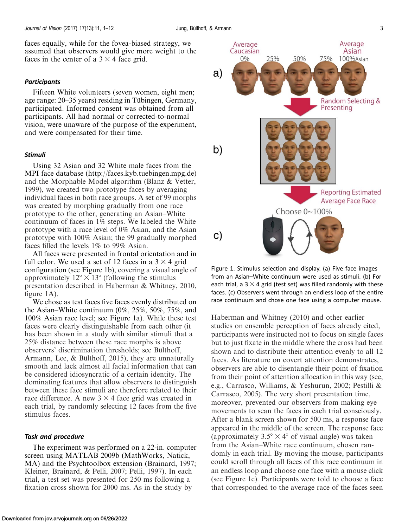<span id="page-2-0"></span>faces equally, while for the fovea-biased strategy, we assumed that observers would give more weight to the faces in the center of a  $3 \times 4$  face grid.

### **Participants**

Fifteen White volunteers (seven women, eight men; age range: 20–35 years) residing in Tübingen, Germany, participated. Informed consent was obtained from all participants. All had normal or corrected-to-normal vision, were unaware of the purpose of the experiment, and were compensated for their time.

### Stimuli

Using 32 Asian and 32 White male faces from the MPI face database [\(http://faces.kyb.tuebingen.mpg.de](http://faces.kyb.tuebingen.mpg.de)) and the Morphable Model algorithm (Blanz & Vetter, [1999\)](#page-9-0), we created two prototype faces by averaging individual faces in both race groups. A set of 99 morphs was created by morphing gradually from one race prototype to the other, generating an Asian–White continuum of faces in 1% steps. We labeled the White prototype with a race level of 0% Asian, and the Asian prototype with 100% Asian; the 99 gradually morphed faces filled the levels 1% to 99% Asian.

All faces were presented in frontal orientation and in full color. We used a set of 12 faces in a  $3 \times 4$  grid configuration (see Figure 1b), covering a visual angle of approximately  $12^{\circ} \times 13^{\circ}$  (following the stimulus presentation described in Haberman & Whitney, [2010](#page-10-0), figure 1A).

We chose as test faces five faces evenly distributed on the Asian–White continuum (0%, 25%, 50%, 75%, and 100% Asian race level; see Figure 1a). While these test faces were clearly distinguishable from each other (it has been shown in a study with similar stimuli that a 25% distance between these race morphs is above observers' discrimination thresholds; see Bülthoff, Armann, Lee,  $&$  Bülthoff, [2015\)](#page-9-0), they are unnaturally smooth and lack almost all facial information that can be considered idiosyncratic of a certain identity. The dominating features that allow observers to distinguish between these face stimuli are therefore related to their race difference. A new  $3 \times 4$  face grid was created in each trial, by randomly selecting 12 faces from the five stimulus faces.

### Task and procedure

The experiment was performed on a 22-in. computer screen using MATLAB 2009b (MathWorks, Natick, MA) and the Psychtoolbox extension (Brainard, [1997;](#page-9-0) Kleiner, Brainard, & Pelli, [2007;](#page-10-0) Pelli, [1997](#page-10-0)). In each trial, a test set was presented for 250 ms following a fixation cross shown for 2000 ms. As in the study by



Figure 1. Stimulus selection and display. (a) Five face images from an Asian–White continuum were used as stimuli. (b) For each trial, a  $3 \times 4$  grid (test set) was filled randomly with these faces. (c) Observers went through an endless loop of the entire race continuum and chose one face using a computer mouse.

Haberman and Whitney ([2010\)](#page-10-0) and other earlier studies on ensemble perception of faces already cited, participants were instructed not to focus on single faces but to just fixate in the middle where the cross had been shown and to distribute their attention evenly to all 12 faces. As literature on covert attention demonstrates, observers are able to disentangle their point of fixation from their point of attention allocation in this way (see, e.g., Carrasco, Williams, & Yeshurun, [2002](#page-9-0); Pestilli & Carrasco, [2005\)](#page-10-0). The very short presentation time, moreover, prevented our observers from making eye movements to scan the faces in each trial consciously. After a blank screen shown for 500 ms, a response face appeared in the middle of the screen. The response face (approximately  $3.5^{\circ} \times 4^{\circ}$  of visual angle) was taken from the Asian–White race continuum, chosen randomly in each trial. By moving the mouse, participants could scroll through all faces of this race continuum in an endless loop and choose one face with a mouse click (see Figure 1c). Participants were told to choose a face that corresponded to the average race of the faces seen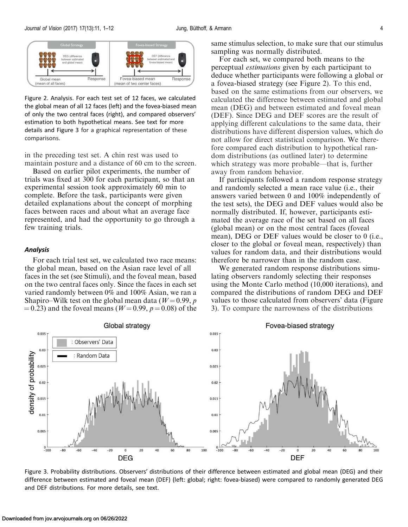<span id="page-3-0"></span>

Figure 2. Analysis. For each test set of 12 faces, we calculated the global mean of all 12 faces (left) and the fovea-biased mean of only the two central faces (right), and compared observers' estimation to both hypothetical means. See text for more details and Figure 3 for a graphical representation of these comparisons.

in the preceding test set. A chin rest was used to maintain posture and a distance of 60 cm to the screen.

Based on earlier pilot experiments, the number of trials was fixed at 300 for each participant, so that an experimental session took approximately 60 min to complete. Before the task, participants were given detailed explanations about the concept of morphing faces between races and about what an average face represented, and had the opportunity to go through a few training trials.

### **Analysis**

For each trial test set, we calculated two race means: the global mean, based on the Asian race level of all faces in the set (see Stimuli), and the foveal mean, based on the two central faces only. Since the faces in each set varied randomly between 0% and 100% Asian, we ran a Shapiro–Wilk test on the global mean data ( $W=0.99$ , p  $(4.23)$  and the foveal means ( $W=0.99$ ,  $p=0.08$ ) of the same stimulus selection, to make sure that our stimulus sampling was normally distributed.

For each set, we compared both means to the perceptual estimations given by each participant to deduce whether participants were following a global or a fovea-biased strategy (see Figure 2). To this end, based on the same estimations from our observers, we calculated the difference between estimated and global mean (DEG) and between estimated and foveal mean (DEF). Since DEG and DEF scores are the result of applying different calculations to the same data, their distributions have different dispersion values, which do not allow for direct statistical comparison. We therefore compared each distribution to hypothetical random distributions (as outlined later) to determine which strategy was more probable—that is, further away from random behavior.

If participants followed a random response strategy and randomly selected a mean race value (i.e., their answers varied between 0 and 100% independently of the test sets), the DEG and DEF values would also be normally distributed. If, however, participants estimated the average race of the set based on all faces (global mean) or on the most central faces (foveal mean), DEG or DEF values would be closer to 0 (i.e., closer to the global or foveal mean, respectively) than values for random data, and their distributions would therefore be narrower than in the random case.

We generated random response distributions simulating observers randomly selecting their responses using the Monte Carlo method (10,000 iterations), and compared the distributions of random DEG and DEF values to those calculated from observers' data (Figure 3). To compare the narrowness of the distributions



Figure 3. Probability distributions. Observers' distributions of their difference between estimated and global mean (DEG) and their difference between estimated and foveal mean (DEF) (left: global; right: fovea-biased) were compared to randomly generated DEG and DEF distributions. For more details, see text.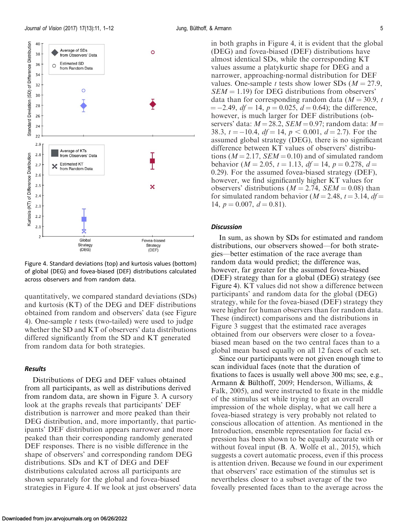

Figure 4. Standard deviations (top) and kurtosis values (bottom) of global (DEG) and fovea-biased (DEF) distributions calculated across observers and from random data.

quantitatively, we compared standard deviations (SDs) and kurtosis (KT) of the DEG and DEF distributions obtained from random and observers' data (see Figure 4). One-sample  $t$  tests (two-tailed) were used to judge whether the SD and KT of observers' data distributions differed significantly from the SD and KT generated from random data for both strategies.

# Results

Distributions of DEG and DEF values obtained from all participants, as well as distributions derived from random data, are shown in [Figure 3.](#page-3-0) A cursory look at the graphs reveals that participants' DEF distribution is narrower and more peaked than their DEG distribution, and, more importantly, that participants' DEF distribution appears narrower and more peaked than their corresponding randomly generated DEF responses. There is no visible difference in the shape of observers' and corresponding random DEG distributions. SDs and KT of DEG and DEF distributions calculated across all participants are shown separately for the global and fovea-biased strategies in Figure 4. If we look at just observers' data in both graphs in Figure 4, it is evident that the global (DEG) and fovea-biased (DEF) distributions have almost identical SDs, while the corresponding KT values assume a platykurtic shape for DEG and a narrower, approaching-normal distribution for DEF values. One-sample t tests show lower SDs ( $M = 27.9$ ,  $SEM = 1.19$ ) for DEG distributions from observers' data than for corresponding random data  $(M = 30.9, t$  $= -2.49$ ,  $df = 14$ ,  $p = 0.025$ ,  $d = 0.64$ ); the difference, however, is much larger for DEF distributions (observers' data:  $M = 28.2$ , SEM = 0.97; random data:  $M =$ 38.3,  $t = -10.4$ ,  $df = 14$ ,  $p < 0.001$ ,  $d = 2.7$ ). For the assumed global strategy (DEG), there is no significant difference between KT values of observers' distributions ( $M = 2.17$ ,  $SEM = 0.10$ ) and of simulated random behavior ( $M = 2.05$ ,  $t = 1.13$ ,  $df = 14$ ,  $p = 0.278$ ,  $d =$ 0.29). For the assumed fovea-biased strategy (DEF), however, we find significantly higher KT values for observers' distributions ( $M = 2.74$ ,  $SEM = 0.08$ ) than for simulated random behavior ( $M = 2.48$ ,  $t = 3.14$ ,  $df =$ 14,  $p = 0.007$ ,  $d = 0.81$ ).

### **Discussion**

In sum, as shown by SDs for estimated and random distributions, our observers showed—for both strategies—better estimation of the race average than random data would predict; the difference was, however, far greater for the assumed fovea-biased (DEF) strategy than for a global (DEG) strategy (see Figure 4). KT values did not show a difference between participants' and random data for the global (DEG) strategy, while for the fovea-biased (DEF) strategy they were higher for human observers than for random data. These (indirect) comparisons and the distributions in [Figure 3](#page-3-0) suggest that the estimated race averages obtained from our observers were closer to a foveabiased mean based on the two central faces than to a global mean based equally on all 12 faces of each set.

Since our participants were not given enough time to scan individual faces (note that the duration of fixations to faces is usually well above 300 ms; see, e.g., Armann & Bülthoff, [2009](#page-9-0); Henderson, Williams,  $\&$ Falk, [2005\)](#page-10-0), and were instructed to fixate in the middle of the stimulus set while trying to get an overall impression of the whole display, what we call here a fovea-biased strategy is very probably not related to conscious allocation of attention. As mentioned in the [Introduction,](#page-0-0) ensemble representation for facial expression has been shown to be equally accurate with or without foveal input (B. A. Wolfe et al., [2015\)](#page-11-0), which suggests a covert automatic process, even if this process is attention driven. Because we found in our experiment that observers' race estimation of the stimulus set is nevertheless closer to a subset average of the two foveally presented faces than to the average across the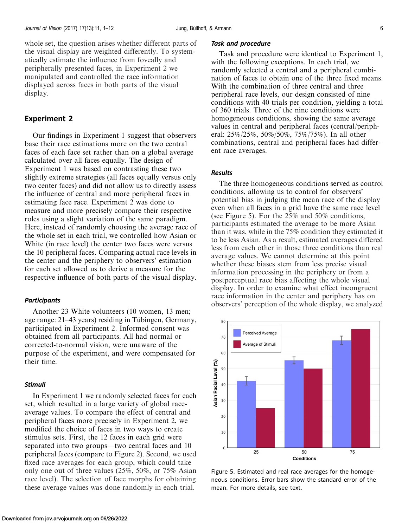<span id="page-5-0"></span>whole set, the question arises whether different parts of the visual display are weighted differently. To systematically estimate the influence from foveally and peripherally presented faces, in Experiment 2 we manipulated and controlled the race information displayed across faces in both parts of the visual display.

# Experiment 2

Our findings in Experiment 1 suggest that observers base their race estimations more on the two central faces of each face set rather than on a global average calculated over all faces equally. The design of Experiment 1 was based on contrasting these two slightly extreme strategies (all faces equally versus only two center faces) and did not allow us to directly assess the influence of central and more peripheral faces in estimating face race. Experiment 2 was done to measure and more precisely compare their respective roles using a slight variation of the same paradigm. Here, instead of randomly choosing the average race of the whole set in each trial, we controlled how Asian or White (in race level) the center two faces were versus the 10 peripheral faces. Comparing actual race levels in the center and the periphery to observers' estimation for each set allowed us to derive a measure for the respective influence of both parts of the visual display.

### **Participants**

Another 23 White volunteers (10 women, 13 men; age range: 21–43 years) residing in Tübingen, Germany, participated in Experiment 2. Informed consent was obtained from all participants. All had normal or corrected-to-normal vision, were unaware of the purpose of the experiment, and were compensated for their time.

#### Stimuli

In Experiment 1 we randomly selected faces for each set, which resulted in a large variety of global raceaverage values. To compare the effect of central and peripheral faces more precisely in Experiment 2, we modified the choice of faces in two ways to create stimulus sets. First, the 12 faces in each grid were separated into two groups—two central faces and 10 peripheral faces (compare to [Figure 2](#page-3-0)). Second, we used fixed race averages for each group, which could take only one out of three values (25%, 50%, or 75% Asian race level). The selection of face morphs for obtaining these average values was done randomly in each trial.

#### Task and procedure

Task and procedure were identical to Experiment 1, with the following exceptions. In each trial, we randomly selected a central and a peripheral combination of faces to obtain one of the three fixed means. With the combination of three central and three peripheral race levels, our design consisted of nine conditions with 40 trials per condition, yielding a total of 360 trials. Three of the nine conditions were homogeneous conditions, showing the same average values in central and peripheral faces (central/peripheral: 25%/25%, 50%/50%, 75%/75%). In all other combinations, central and peripheral faces had different race averages.

## Results

The three homogeneous conditions served as control conditions, allowing us to control for observers' potential bias in judging the mean race of the display even when all faces in a grid have the same race level (see Figure 5). For the 25% and 50% conditions, participants estimated the average to be more Asian than it was, while in the 75% condition they estimated it to be less Asian. As a result, estimated averages differed less from each other in those three conditions than real average values. We cannot determine at this point whether these biases stem from less precise visual information processing in the periphery or from a postperceptual race bias affecting the whole visual display. In order to examine what effect incongruent race information in the center and periphery has on observers' perception of the whole display, we analyzed



Figure 5. Estimated and real race averages for the homogeneous conditions. Error bars show the standard error of the mean. For more details, see text.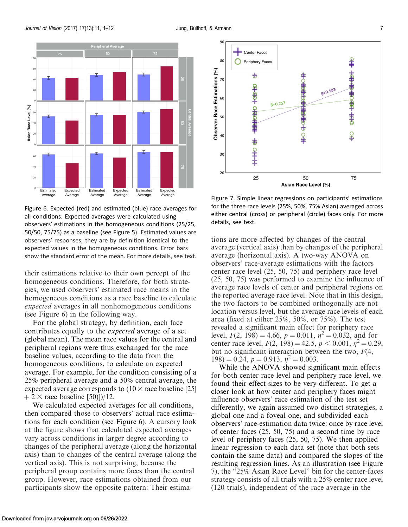

Figure 6. Expected (red) and estimated (blue) race averages for all conditions. Expected averages were calculated using observers' estimations in the homogeneous conditions (25/25, 50/50, 75/75) as a baseline (see [Figure 5\)](#page-5-0). Estimated values are observers' responses; they are by definition identical to the expected values in the homogeneous conditions. Error bars show the standard error of the mean. For more details, see text.

their estimations relative to their own percept of the homogeneous conditions. Therefore, for both strategies, we used observers' estimated race means in the homogeneous conditions as a race baseline to calculate expected averages in all nonhomogeneous conditions (see Figure 6) in the following way.

For the global strategy, by definition, each face contributes equally to the expected average of a set (global mean). The mean race values for the central and peripheral regions were thus exchanged for the race baseline values, according to the data from the homogeneous conditions, to calculate an expected average. For example, for the condition consisting of a 25% peripheral average and a 50% central average, the expected average corresponds to  $(10 \times \text{race baseline} [25])$  $+2 \times$  race baseline [50)])/12.

We calculated expected averages for all conditions, then compared those to observers' actual race estimations for each condition (see Figure 6). A cursory look at the figure shows that calculated expected averages vary across conditions in larger degree according to changes of the peripheral average (along the horizontal axis) than to changes of the central average (along the vertical axis). This is not surprising, because the peripheral group contains more faces than the central group. However, race estimations obtained from our participants show the opposite pattern: Their estima-



Figure 7. Simple linear regressions on participants' estimations for the three race levels (25%, 50%, 75% Asian) averaged across either central (cross) or peripheral (circle) faces only. For more details, see text.

tions are more affected by changes of the central average (vertical axis) than by changes of the peripheral average (horizontal axis). A two-way ANOVA on observers' race-average estimations with the factors center race level (25, 50, 75) and periphery race level (25, 50, 75) was performed to examine the influence of average race levels of center and peripheral regions on the reported average race level. Note that in this design, the two factors to be combined orthogonally are not location versus level, but the average race levels of each area (fixed at either 25%, 50%, or 75%). The test revealed a significant main effect for periphery race level,  $F(2, 198) = 4.66$ ,  $p = 0.011$ ,  $\eta^2 = 0.032$ , and for center race level,  $F(2, 198) = 42.5, p < 0.001, \eta^2 = 0.29$ , but no significant interaction between the two,  $F(4, 4)$  $198$ )  $= 0.24$ ,  $p = 0.913$ ,  $\eta^2 = 0.003$ .

While the ANOVA showed significant main effects for both center race level and periphery race level, we found their effect sizes to be very different. To get a closer look at how center and periphery faces might influence observers' race estimation of the test set differently, we again assumed two distinct strategies, a global one and a foveal one, and subdivided each observers' race-estimation data twice: once by race level of center faces (25, 50, 75) and a second time by race level of periphery faces (25, 50, 75). We then applied linear regression to each data set (note that both sets contain the same data) and compared the slopes of the resulting regression lines. As an illustration (see Figure 7), the ''25% Asian Race Level'' bin for the center-faces strategy consists of all trials with a 25% center race level (120 trials), independent of the race average in the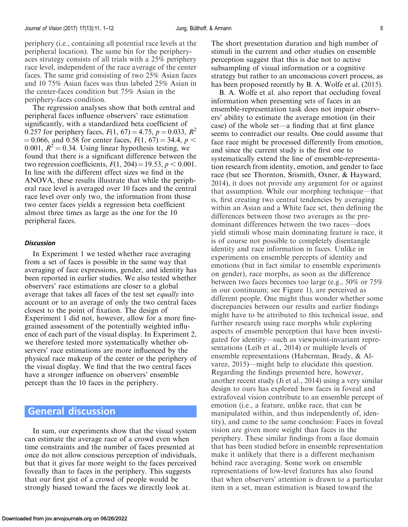periphery (i.e., containing all potential race levels at the peripheral location). The same bin for the peripheryaces strategy consists of all trials with a 25% periphery race level, independent of the race average of the center faces. The same grid consisting of two 25% Asian faces and 10 75% Asian faces was thus labeled 25% Asian in the center-faces condition but 75% Asian in the periphery-faces condition.

The regression analyses show that both central and peripheral faces influence observers' race estimation significantly, with a standardized beta coefficient of 0.257 for periphery faces,  $F(1, 67) = 4.75$ ,  $p = 0.033$ ,  $R^2$  $\kappa = 0.066$ , and 0.58 for center faces,  $F(1, 67) = 34.4$ ,  $p <$ 0.001,  $R^2 = 0.34$ . Using linear hypothesis testing, we found that there is a significant difference between the two regression coefficients,  $F(1, 204) = 19.53$ ,  $p < 0.001$ . In line with the different effect sizes we find in the ANOVA, these results illustrate that while the peripheral race level is averaged over 10 faces and the central race level over only two, the information from those two center faces yields a regression beta coefficient almost three times as large as the one for the 10 peripheral faces.

### **Discussion**

In Experiment 1 we tested whether race averaging from a set of faces is possible in the same way that averaging of face expressions, gender, and identity has been reported in earlier studies. We also tested whether observers' race estimations are closer to a global average that takes all faces of the test set equally into account or to an average of only the two central faces closest to the point of fixation. The design of Experiment 1 did not, however, allow for a more finegrained assessment of the potentially weighted influence of each part of the visual display. In Experiment 2, we therefore tested more systematically whether observers' race estimations are more influenced by the physical race makeup of the center or the periphery of the visual display. We find that the two central faces have a stronger influence on observers' ensemble percept than the 10 faces in the periphery.

# General discussion

In sum, our experiments show that the visual system can estimate the average race of a crowd even when time constraints and the number of faces presented at once do not allow conscious perception of individuals, but that it gives far more weight to the faces perceived foveally than to faces in the periphery. This suggests that our first gist of a crowd of people would be strongly biased toward the faces we directly look at.

The short presentation duration and high number of stimuli in the current and other studies on ensemble perception suggest that this is due not to active subsampling of visual information or a cognitive strategy but rather to an unconscious covert process, as has been proposed recently by B. A. Wolfe et al. [\(2015](#page-11-0)).

B. A. Wolfe et al. also report that occluding foveal information when presenting sets of faces in an ensemble-representation task does not impair observers' ability to estimate the average emotion (in their case) of the whole set—a finding that at first glance seems to contradict our results. One could assume that face race might be processed differently from emotion, and since the current study is the first one to systematically extend the line of ensemble-representation research from identity, emotion, and gender to face race (but see Thornton, Srismith, Oxner, & Hayward, [2014\)](#page-10-0), it does not provide any argument for or against that assumption. While our morphing technique—that is, first creating two central tendencies by averaging within an Asian and a White face set, then defining the differences between those two averages as the predominant differences between the two races—does yield stimuli whose main dominating feature is race, it is of course not possible to completely disentangle identity and race information in faces. Unlike in experiments on ensemble percepts of identity and emotions (but in fact similar to ensemble experiments on gender), race morphs, as soon as the difference between two faces becomes too large (e.g., 50% or 75% in our continuum; see [Figure 1](#page-2-0)), are perceived as different people. One might thus wonder whether some discrepancies between our results and earlier findings might have to be attributed to this technical issue, and further research using race morphs while exploring aspects of ensemble perception that have been investigated for identity—such as viewpoint-invariant representations (Leib et al., [2014](#page-10-0)) or multiple levels of ensemble representations (Haberman, Brady, & Alvarez, [2015](#page-10-0))—might help to elucidate this question. Regarding the findings presented here, however, another recent study (Ji et al., [2014\)](#page-10-0) using a very similar design to ours has explored how faces in foveal and extrafoveal vision contribute to an ensemble percept of emotion (i.e., a feature, unlike race, that can be manipulated within, and thus independently of, identity), and came to the same conclusion: Faces in foveal vision are given more weight than faces in the periphery. These similar findings from a face domain that has been studied before in ensemble representation make it unlikely that there is a different mechanism behind race averaging. Some work on ensemble representations of low-level features has also found that when observers' attention is drawn to a particular item in a set, mean estimation is biased toward the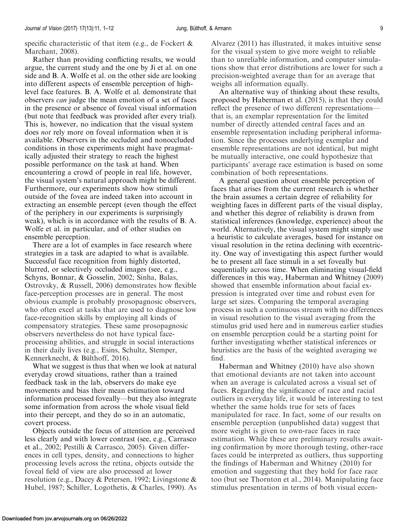specific characteristic of that item (e.g., de Fockert & Marchant, [2008](#page-10-0)).

Rather than providing conflicting results, we would argue, the current study and the one by Ji et al. on one side and B. A. Wolfe et al. on the other side are looking into different aspects of ensemble perception of highlevel face features. B. A. Wolfe et al. demonstrate that observers can judge the mean emotion of a set of faces in the presence or absence of foveal visual information (but note that feedback was provided after every trial). This is, however, no indication that the visual system does not rely more on foveal information when it is available. Observers in the occluded and nonoccluded conditions in those experiments might have pragmatically adjusted their strategy to reach the highest possible performance on the task at hand. When encountering a crowd of people in real life, however, the visual system's natural approach might be different. Furthermore, our experiments show how stimuli outside of the fovea are indeed taken into account in extracting an ensemble percept (even though the effect of the periphery in our experiments is surprisingly weak), which is in accordance with the results of B. A. Wolfe et al. in particular, and of other studies on ensemble perception.

There are a lot of examples in face research where strategies in a task are adapted to what is available. Successful face recognition from highly distorted, blurred, or selectively occluded images (see, e.g., Schyns, Bonnar, & Gosselin, [2002;](#page-10-0) Sinha, Balas, Ostrovsky, & Russell, [2006](#page-10-0)) demonstrates how flexible face-perception processes are in general. The most obvious example is probably prosopagnosic observers, who often excel at tasks that are used to diagnose low face-recognition skills by employing all kinds of compensatory strategies. These same prosopagnosic observers nevertheless do not have typical faceprocessing abilities, and struggle in social interactions in their daily lives (e.g., Esins, Schultz, Stemper, Kennerknecht, & Bülthoff, [2016](#page-10-0)).

What we suggest is thus that when we look at natural everyday crowd situations, rather than a trained feedback task in the lab, observers do make eye movements and bias their mean estimation toward information processed foveally—but they also integrate some information from across the whole visual field into their percept, and they do so in an automatic, covert process.

Objects outside the focus of attention are perceived less clearly and with lower contrast (see, e.g., Carrasco et al., [2002](#page-9-0); Pestilli & Carrasco, [2005](#page-10-0)). Given differences in cell types, density, and connections to higher processing levels across the retina, objects outside the foveal field of view are also processed at lower resolution (e.g., Dacey & Petersen, [1992](#page-10-0); Livingstone & Hubel, [1987;](#page-10-0) Schiller, Logothetis, & Charles, [1990\)](#page-10-0). As Alvarez [\(2011](#page-9-0)) has illustrated, it makes intuitive sense for the visual system to give more weight to reliable than to unreliable information, and computer simulations show that error distributions are lower for such a precision-weighted average than for an average that weighs all information equally.

An alternative way of thinking about these results, proposed by Haberman et al. ([2015\)](#page-10-0), is that they could reflect the presence of two different representations that is, an exemplar representation for the limited number of directly attended central faces and an ensemble representation including peripheral information. Since the processes underlying exemplar and ensemble representations are not identical, but might be mutually interactive, one could hypothesize that participants' average race estimation is based on some combination of both representations.

A general question about ensemble perception of faces that arises from the current research is whether the brain assumes a certain degree of reliability for weighting faces in different parts of the visual display, and whether this degree of reliability is drawn from statistical inferences (knowledge, experience) about the world. Alternatively, the visual system might simply use a heuristic to calculate averages, based for instance on visual resolution in the retina declining with eccentricity. One way of investigating this aspect further would be to present all face stimuli in a set foveally but sequentially across time. When eliminating visual-field differences in this way, Haberman and Whitney [\(2009](#page-10-0)) showed that ensemble information about facial expression is integrated over time and robust even for large set sizes. Comparing the temporal averaging process in such a continuous stream with no differences in visual resolution to the visual averaging from the stimulus grid used here and in numerous earlier studies on ensemble perception could be a starting point for further investigating whether statistical inferences or heuristics are the basis of the weighted averaging we find.

Haberman and Whitney ([2010](#page-10-0)) have also shown that emotional deviants are not taken into account when an average is calculated across a visual set of faces. Regarding the significance of race and racial outliers in everyday life, it would be interesting to test whether the same holds true for sets of faces manipulated for race. In fact, some of our results on ensemble perception (unpublished data) suggest that more weight is given to own-race faces in race estimation. While these are preliminary results awaiting confirmation by more thorough testing, other-race faces could be interpreted as outliers, thus supporting the findings of Haberman and Whitney [\(2010\)](#page-10-0) for emotion and suggesting that they hold for face race too (but see Thornton et al., [2014\)](#page-10-0). Manipulating face stimulus presentation in terms of both visual eccen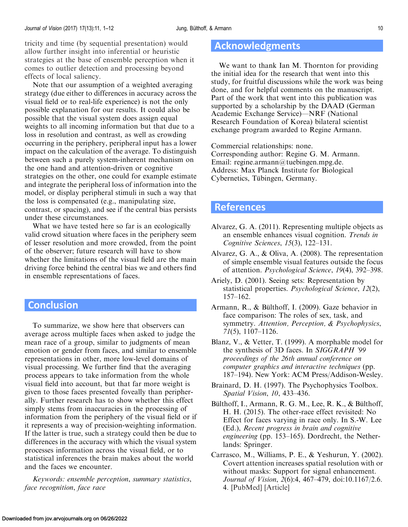<span id="page-9-0"></span>tricity and time (by sequential presentation) would allow further insight into inferential or heuristic strategies at the base of ensemble perception when it comes to outlier detection and processing beyond effects of local saliency.

Note that our assumption of a weighted averaging strategy (due either to differences in accuracy across the visual field or to real-life experience) is not the only possible explanation for our results. It could also be possible that the visual system does assign equal weights to all incoming information but that due to a loss in resolution and contrast, as well as crowding occurring in the periphery, peripheral input has a lower impact on the calculation of the average. To distinguish between such a purely system-inherent mechanism on the one hand and attention-driven or cognitive strategies on the other, one could for example estimate and integrate the peripheral loss of information into the model, or display peripheral stimuli in such a way that the loss is compensated (e.g., manipulating size, contrast, or spacing), and see if the central bias persists under these circumstances.

What we have tested here so far is an ecologically valid crowd situation where faces in the periphery seem of lesser resolution and more crowded, from the point of the observer; future research will have to show whether the limitations of the visual field are the main driving force behind the central bias we and others find in ensemble representations of faces.

# **Conclusion**

To summarize, we show here that observers can average across multiple faces when asked to judge the mean race of a group, similar to judgments of mean emotion or gender from faces, and similar to ensemble representations in other, more low-level domains of visual processing. We further find that the averaging process appears to take information from the whole visual field into account, but that far more weight is given to those faces presented foveally than peripherally. Further research has to show whether this effect simply stems from inaccuracies in the processing of information from the periphery of the visual field or if it represents a way of precision-weighting information. If the latter is true, such a strategy could then be due to differences in the accuracy with which the visual system processes information across the visual field, or to statistical inferences the brain makes about the world and the faces we encounter.

Keywords: ensemble perception, summary statistics, face recognition, face race

# Acknowledgments

We want to thank Ian M. Thornton for providing the initial idea for the research that went into this study, for fruitful discussions while the work was being done, and for helpful comments on the manuscript. Part of the work that went into this publication was supported by a scholarship by the DAAD (German Academic Exchange Service)—NRF (National Research Foundation of Korea) bilateral scientist exchange program awarded to Regine Armann.

Commercial relationships: none. Corresponding author: Regine G. M. Armann. Email: [regine.armann@tuebingen.mpg.de.](mailto:regine.armann@tuebingen.mpg.de) Address: Max Planck Institute for Biological Cybernetics, Tübingen, Germany.

# **References**

- Alvarez, G. A. (2011). Representing multiple objects as an ensemble enhances visual cognition. Trends in Cognitive Sciences, 15(3), 122–131.
- Alvarez, G. A., & Oliva, A. (2008). The representation of simple ensemble visual features outside the focus of attention. Psychological Science, 19(4), 392–398.
- Ariely, D. (2001). Seeing sets: Representation by statistical properties. Psychological Science, 12(2), 157–162.
- Armann, R., & Bülthoff, I. (2009). Gaze behavior in face comparison: The roles of sex, task, and symmetry. Attention, Perception, & Psychophysics, 71(5), 1107–1126.
- Blanz, V., & Vetter, T. (1999). A morphable model for the synthesis of 3D faces. In SIGGRAPH '99 proceedings of the 26th annual conference on computer graphics and interactive techniques (pp. 187–194). New York: ACM Press/Addison-Wesley.
- Brainard, D. H. (1997). The Psychophysics Toolbox. Spatial Vision, 10, 433–436.
- Bülthoff, I., Armann, R. G. M., Lee, R. K., & Bülthoff, H. H. (2015). The other-race effect revisited: No Effect for faces varying in race only. In S.-W. Lee (Ed.), Recent progress in brain and cognitive engineering (pp. 153–165). Dordrecht, the Netherlands: Springer.
- Carrasco, M., Williams, P. E., & Yeshurun, Y. (2002). Covert attention increases spatial resolution with or without masks: Support for signal enhancement. Journal of Vision, 2(6):4, 467–479, doi:[10.1167/2.6.](http://dx.doi.org/10.1167/2.6.4) [4](http://dx.doi.org/10.1167/2.6.4). [[PubMed](https://www.ncbi.nlm.nih.gov/pubmed/12678645)] [[Article\]](http://jov.arvojournals.org/article.aspx?articleid=2121529)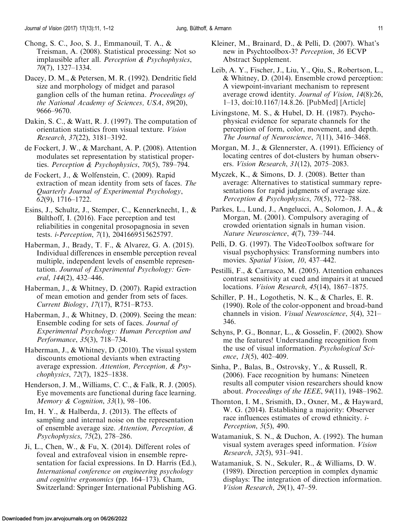- <span id="page-10-0"></span>Chong, S. C., Joo, S. J., Emmanouil, T. A., & Treisman, A. (2008). Statistical processing: Not so implausible after all. *Perception & Psychophysics*, 70(7), 1327–1334.
- Dacey, D. M., & Petersen, M. R. (1992). Dendritic field size and morphology of midget and parasol ganglion cells of the human retina. Proceedings of the National Academy of Sciences, USA, 89(20), 9666–9670.
- Dakin, S. C., & Watt, R. J. (1997). The computation of orientation statistics from visual texture. Vision Research, 37(22), 3181–3192.
- de Fockert, J. W., & Marchant, A. P. (2008). Attention modulates set representation by statistical properties. Perception & Psychophysics, 70(5), 789–794.
- de Fockert, J., & Wolfenstein, C. (2009). Rapid extraction of mean identity from sets of faces. The Quarterly Journal of Experimental Psychology, 62(9), 1716–1722.
- Esins, J., Schultz, J., Stemper, C., Kennerknecht, I., & Bülthoff, I. (2016). Face perception and test reliabilities in congenital prosopagnosia in seven tests. i-Perception, 7(1), 2041669515625797.
- Haberman, J., Brady, T. F., & Alvarez, G. A. (2015). Individual differences in ensemble perception reveal multiple, independent levels of ensemble representation. Journal of Experimental Psychology: General, 144(2), 432–446.
- Haberman, J., & Whitney, D. (2007). Rapid extraction of mean emotion and gender from sets of faces. Current Biology, 17(17), R751–R753.
- Haberman, J., & Whitney, D. (2009). Seeing the mean: Ensemble coding for sets of faces. Journal of Experimental Psychology: Human Perception and Performance, 35(3), 718–734.
- Haberman, J., & Whitney, D. (2010). The visual system discounts emotional deviants when extracting average expression. Attention, Perception, & Psychophysics, 72(7), 1825–1838.
- Henderson, J. M., Williams, C. C., & Falk, R. J. (2005). Eye movements are functional during face learning. Memory & Cognition, 33(1), 98–106.
- Im, H. Y., & Halberda, J. (2013). The effects of sampling and internal noise on the representation of ensemble average size. Attention, Perception, & Psychophysics, 75(2), 278–286.
- Ji, L., Chen, W., & Fu, X.  $(2014)$ . Different roles of foveal and extrafoveal vision in ensemble representation for facial expressions. In D. Harris (Ed.), International conference on engineering psychology and cognitive ergonomics (pp. 164–173). Cham, Switzerland: Springer International Publishing AG.
- Kleiner, M., Brainard, D., & Pelli, D. (2007). What's new in Psychtoolbox-3? Perception, 36 ECVP Abstract Supplement.
- Leib, A. Y., Fischer, J., Liu, Y., Qiu, S., Robertson, L., & Whitney, D. (2014). Ensemble crowd perception: A viewpoint-invariant mechanism to represent average crowd identity. Journal of Vision, 14(8):26, 1–13, doi[:10.1167/14.8.26](http://dx.doi.org/10.1167/14.8.26). [[PubMed](https://www.ncbi.nlm.nih.gov/pubmed/25074904)] [[Article](http://jov.arvojournals.org/article.aspx?articleid=2194053)]
- Livingstone, M. S., & Hubel, D. H. (1987). Psychophysical evidence for separate channels for the perception of form, color, movement, and depth. The Journal of Neuroscience, 7(11), 3416–3468.
- Morgan, M. J., & Glennerster, A. (1991). Efficiency of locating centres of dot-clusters by human observers. Vision Research, 31(12), 2075–2083.
- Myczek, K., & Simons, D. J. (2008). Better than average: Alternatives to statistical summary representations for rapid judgments of average size. Perception & Psychophysics, 70(5), 772–788.
- Parkes, L., Lund, J., Angelucci, A., Solomon, J. A., & Morgan, M. (2001). Compulsory averaging of crowded orientation signals in human vision. Nature Neuroscience, 4(7), 739–744.
- Pelli, D. G. (1997). The VideoToolbox software for visual psychophysics: Transforming numbers into movies. Spatial Vision, 10, 437-442.
- Pestilli, F., & Carrasco, M. (2005). Attention enhances contrast sensitivity at cued and impairs it at uncued locations. Vision Research, 45(14), 1867–1875.
- Schiller, P. H., Logothetis, N. K., & Charles, E. R. (1990). Role of the color-opponent and broad-band channels in vision. Visual Neuroscience, 5(4), 321– 346.
- Schyns, P. G., Bonnar, L., & Gosselin, F. (2002). Show me the features! Understanding recognition from the use of visual information. Psychological Science, 13(5), 402–409.
- Sinha, P., Balas, B., Ostrovsky, Y., & Russell, R. (2006). Face recognition by humans: Nineteen results all computer vision researchers should know about. Proceedings of the IEEE, 94(11), 1948–1962.
- Thornton, I. M., Srismith, D., Oxner, M., & Hayward, W. G. (2014). Establishing a majority: Observer race influences estimates of crowd ethnicity. i-Perception, 5(5), 490.
- Watamaniuk, S. N., & Duchon, A. (1992). The human visual system averages speed information. Vision Research, 32(5), 931–941.
- Watamaniuk, S. N., Sekuler, R., & Williams, D. W. (1989). Direction perception in complex dynamic displays: The integration of direction information. Vision Research, 29(1), 47–59.